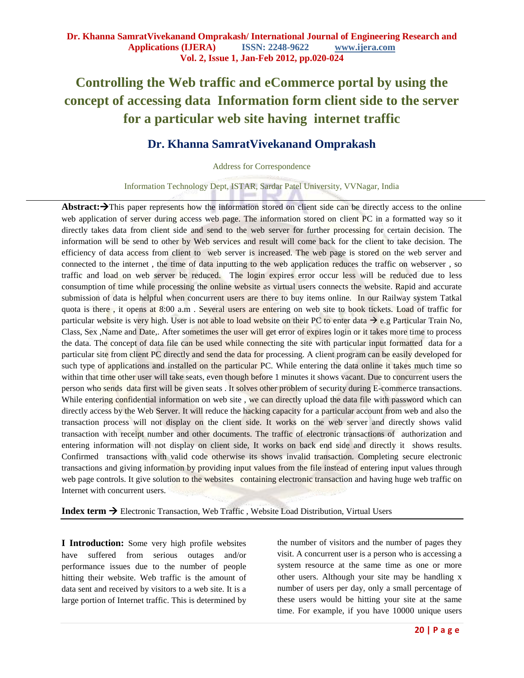# **Controlling the Web traffic and eCommerce portal by using the concept of accessing data Information form client side to the server for a particular web site having internet traffic**

## **Dr. Khanna SamratVivekanand Omprakash**

Address for Correspondence

Information Technology Dept, ISTAR, Sardar Patel University, VVNagar, India

Abstract: $\rightarrow$ This paper represents how the information stored on client side can be directly access to the online web application of server during access web page. The information stored on client PC in a formatted way so it directly takes data from client side and send to the web server for further processing for certain decision. The information will be send to other by Web services and result will come back for the client to take decision. The efficiency of data access from client to web server is increased. The web page is stored on the web server and connected to the internet , the time of data inputting to the web application reduces the traffic on webserver , so traffic and load on web server be reduced. The login expires error occur less will be reduced due to less consumption of time while processing the online website as virtual users connects the website. Rapid and accurate submission of data is helpful when concurrent users are there to buy items online. In our Railway system Tatkal quota is there , it opens at 8:00 a.m . Several users are entering on web site to book tickets. Load of traffic for particular website is very high. User is not able to load website on their PC to enter data  $\rightarrow$  e.g Particular Train No, Class, Sex ,Name and Date,. After sometimes the user will get error of expires login or it takes more time to process the data. The concept of data file can be used while connecting the site with particular input formatted data for a particular site from client PC directly and send the data for processing. A client program can be easily developed for such type of applications and installed on the particular PC. While entering the data online it takes much time so within that time other user will take seats, even though before 1 minutes it shows vacant. Due to concurrent users the person who sends data first will be given seats . It solves other problem of security during E-commerce transactions. While entering confidential information on web site, we can directly upload the data file with password which can directly access by the Web Server. It will reduce the hacking capacity for a particular account from web and also the transaction process will not display on the client side. It works on the web server and directly shows valid transaction with receipt number and other documents. The traffic of electronic transactions of authorization and entering information will not display on client side, It works on back end side and directly it shows results. Confirmed transactions with valid code otherwise its shows invalid transaction. Completing secure electronic transactions and giving information by providing input values from the file instead of entering input values through web page controls. It give solution to the websites containing electronic transaction and having huge web traffic on Internet with concurrent users.

**Index term →** Electronic Transaction, Web Traffic, Website Load Distribution, Virtual Users

**I Introduction:** Some very high profile websites have suffered from serious outages and/or performance issues due to the number of people hitting their website. Web traffic is the amount of data sent and received by visitors to a web site. It is a large portion of Internet traffic. This is determined by the number of visitors and the number of pages they visit. A concurrent user is a person who is accessing a system resource at the same time as one or more other users. Although your site may be handling x number of users per day, only a small percentage of these users would be hitting your site at the same time. For example, if you have 10000 unique users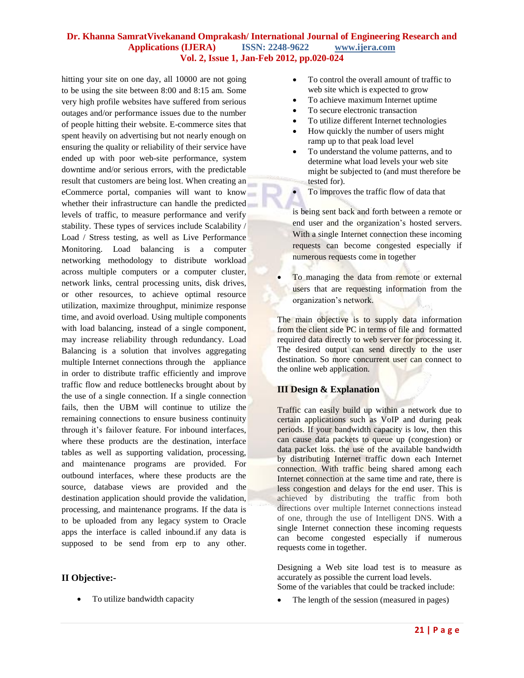hitting your site on one day, all 10000 are not going to be using the site between 8:00 and 8:15 am. Some very high profile websites have suffered from serious outages and/or performance issues due to the number of people hitting their website. E-commerce sites that spent heavily on advertising but not nearly enough on ensuring the quality or reliability of their service have ended up with poor web-site performance, system downtime and/or serious errors, with the predictable result that customers are being lost. When creating an eCommerce portal, companies will want to know whether their infrastructure can handle the predicted levels of traffic, to measure performance and verify stability. These types of services include Scalability / Load / Stress testing, as well as Live Performance Monitoring. Load balancing is a [computer](http://en.wikipedia.org/wiki/Computer_network)  [networking](http://en.wikipedia.org/wiki/Computer_network) methodology to distribute workload across multiple computers or a [computer cluster,](http://en.wikipedia.org/wiki/Computer_cluster) network links, central processing units, disk drives, or other resources, to achieve optimal resource utilization, maximize throughput, minimize response time, and avoid overload. Using multiple components with load balancing, instead of a single component, may increase reliability through [redundancy.](http://en.wikipedia.org/wiki/Redundancy_(engineering)) Load Balancing is a solution that involves aggregating multiple Internet connections through the appliance in order to distribute traffic efficiently and improve traffic flow and reduce bottlenecks brought about by the use of a single connection. If a single connection fails, then the UBM will continue to utilize the remaining connections to ensure business continuity through it's failover feature. For inbound interfaces, where these products are the destination, interface tables as well as supporting validation, processing, and maintenance programs are provided. For outbound interfaces, where these products are the source, database views are provided and the destination application should provide the validation, processing, and maintenance programs. If the data is to be uploaded from any legacy system to Oracle apps the interface is called inbound.if any data is supposed to be send from erp to any other.

#### **II Objective:-**

• To utilize bandwidth capacity

- To control the overall amount of traffic to web site which is expected to grow
- To achieve maximum Internet uptime
- To secure electronic transaction
- To utilize different Internet technologies
- How quickly the number of users might ramp up to that peak load level
- To understand the volume patterns, and to determine what load levels your web site might be subjected to (and must therefore be tested for).
- To improves the traffic flow of data that

is being sent back and forth between a remote or end user and the organization"s hosted servers. With a single Internet connection these incoming requests can become congested especially if numerous requests come in together

• To managing the data from remote or external users that are requesting information from the organization"s network.

The main objective is to supply data information from the client side PC in terms of file and formatted required data directly to web server for processing it. The desired output can send directly to the user destination. So more concurrent user can connect to the online web application.

#### **III Design & Explanation**

Traffic can easily build up within a network due to certain applications such as VoIP and during peak periods. If your bandwidth capacity is low, then this can cause data packets to queue up (congestion) or data packet loss. the use of the available bandwidth by distributing Internet traffic down each Internet connection. With traffic being shared among each Internet connection at the same time and rate, there is less congestion and delays for the end user. This is achieved by distributing the traffic from both directions over multiple Internet connections instead of one, through the use of Intelligent DNS. With a single Internet connection these incoming requests can become congested especially if numerous requests come in together.

Designing a Web site load test is to measure as accurately as possible the current load levels. Some of the variables that could be tracked include:

The length of the session (measured in pages)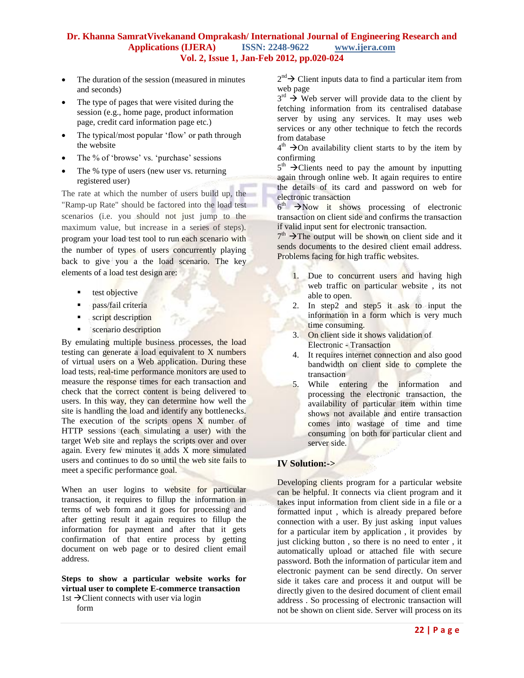- The duration of the session (measured in minutes and seconds)
- The type of pages that were visited during the session (e.g., home page, product information page, credit card information page etc.)
- The typical/most popular 'flow' or path through the website
- The % of 'browse' vs. 'purchase' sessions
- The % type of users (new user vs. returning registered user)

The rate at which the number of users build up, the "Ramp-up Rate" should be factored into the load test scenarios (i.e. you should not just jump to the maximum value, but increase in a series of steps). program your load test tool to run each scenario with the number of types of users concurrently playing back to give you a the load scenario. The key elements of a load test design are:

- test objective
- **Pass/fail criteria**
- script description
- **scenario description**

By emulating multiple business processes, the load testing can generate a load equivalent to X numbers of virtual users on a Web application. During these load tests, real-time performance monitors are used to measure the response times for each transaction and check that the correct content is being delivered to users. In this way, they can determine how well the site is handling the load and identify any bottlenecks. The execution of the scripts opens X number of HTTP sessions (each simulating a user) with the target Web site and replays the scripts over and over again. Every few minutes it adds X more simulated users and continues to do so until the web site fails to meet a specific performance goal.

When an user logins to website for particular transaction, it requires to fillup the information in terms of web form and it goes for processing and after getting result it again requires to fillup the information for payment and after that it gets confirmation of that entire process by getting document on web page or to desired client email address.

**Steps to show a particular website works for virtual user to complete E-commerce transaction** 1st  $\rightarrow$  Client connects with user via login

form

 $2^{nd} \rightarrow$  Client inputs data to find a particular item from web page

 $3^{rd}$   $\rightarrow$  Web server will provide data to the client by fetching information from its centralised database server by using any services. It may uses web services or any other technique to fetch the records from database

 $4<sup>th</sup>$   $\rightarrow$  On availability client starts to by the item by confirming

 $5<sup>th</sup>$   $\rightarrow$  Clients need to pay the amount by inputting again through online web. It again requires to entire the details of its card and password on web for electronic transaction

 $6<sup>th</sup>$   $\rightarrow$  Now it shows processing of electronic transaction on client side and confirms the transaction if valid input sent for electronic transaction.

 $7<sup>th</sup>$   $\rightarrow$  The output will be shown on client side and it sends documents to the desired client email address. Problems facing for high traffic websites.

- 1. Due to concurrent users and having high web traffic on particular website , its not able to open.
- 2. In step2 and step5 it ask to input the information in a form which is very much time consuming.
- 3. On client side it shows validation of Electronic - Transaction
- 4. It requires internet connection and also good bandwidth on client side to complete the transaction
- 5. While entering the information and processing the electronic transaction, the availability of particular item within time shows not available and entire transaction comes into wastage of time and time consuming on both for particular client and server side.

#### **IV Solution:->**

Developing clients program for a particular website can be helpful. It connects via client program and it takes input information from client side in a file or a formatted input , which is already prepared before connection with a user. By just asking input values for a particular item by application , it provides by just clicking button , so there is no need to enter , it automatically upload or attached file with secure password. Both the information of particular item and electronic payment can be send directly. On server side it takes care and process it and output will be directly given to the desired document of client email address . So processing of electronic transaction will not be shown on client side. Server will process on its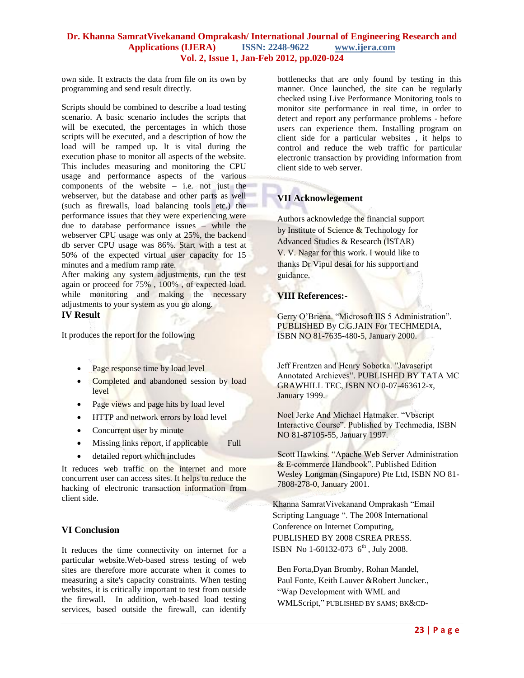own side. It extracts the data from file on its own by programming and send result directly.

Scripts should be combined to describe a load testing scenario. A basic scenario includes the scripts that will be executed, the percentages in which those scripts will be executed, and a description of how the load will be ramped up. It is vital during the execution phase to monitor all aspects of the website. This includes measuring and monitoring the CPU usage and performance aspects of the various components of the website – i.e. not just the webserver, but the database and other parts as well (such as firewalls, load balancing tools etc.) the performance issues that they were experiencing were due to database performance issues – while the webserver CPU usage was only at 25%, the backend db server CPU usage was 86%. Start with a test at 50% of the expected virtual user capacity for 15 minutes and a medium ramp rate.

After making any system adjustments, run the test again or proceed for 75% , 100% , of expected load. while monitoring and making the necessary adjustments to your system as you go along.

#### **IV Result**

It produces the report for the following

- Page response time by load level
- Completed and abandoned session by load level
- Page views and page hits by load level
- HTTP and network errors by load level
- Concurrent user by minute
- Missing links report, if applicable Full
- detailed report which includes

It reduces web traffic on the internet and more concurrent user can access sites. It helps to reduce the hacking of electronic transaction information from client side.

#### **VI Conclusion**

It reduces the time connectivity on internet for a particular website.Web-based stress testing of web sites are therefore more accurate when it comes to measuring a site's capacity constraints. When testing websites, it is critically important to test from outside the firewall. In addition, web-based load testing services, based outside the firewall, can identify

bottlenecks that are only found by testing in this manner. Once launched, the site can be regularly checked using Live Performance Monitoring tools to monitor site performance in real time, in order to detect and report any performance problems - before users can experience them. Installing program on client side for a particular websites , it helps to control and reduce the web traffic for particular electronic transaction by providing information from client side to web server.

### **VII Acknowlegement**

Authors acknowledge the financial support by Institute of Science & Technology for Advanced Studies & Research (ISTAR) V. V. Nagar for this work. I would like to thanks Dr Vipul desai for his support and guidance.

#### **VIII References:-**

Gerry O"Briena. "Microsoft IIS 5 Administration". PUBLISHED By C.G.JAIN For TECHMEDIA, ISBN NO 81-7635-480-5, January 2000.

Jeff Frentzen and Henry Sobotka. "Javascript Annotated Archieves". PUBLISHED BY TATA MC GRAWHILL TEC, ISBN NO 0-07-463612-x, January 1999.

Noel Jerke And Michael Hatmaker. "Vbscript Interactive Course". Published by Techmedia, ISBN NO 81-87105-55, January 1997.

Scott Hawkins. "Apache Web Server Administration & E-commerce Handbook". Published Edition Wesley Longman (Singapore) Pte Ltd, ISBN NO 81- 7808-278-0, January 2001.

 Khanna SamratVivekanand Omprakash "Email Scripting Language ". The 2008 International Conference on Internet Computing, PUBLISHED BY 2008 CSREA PRESS. ISBN No 1-60132-073  $6^{th}$ , July 2008.

Ben Forta,Dyan Bromby, Rohan Mandel, Paul Fonte, Keith Lauver &Robert Juncker., "Wap Development with WML and WMLScript," PUBLISHED BY SAMS; BK&CD-